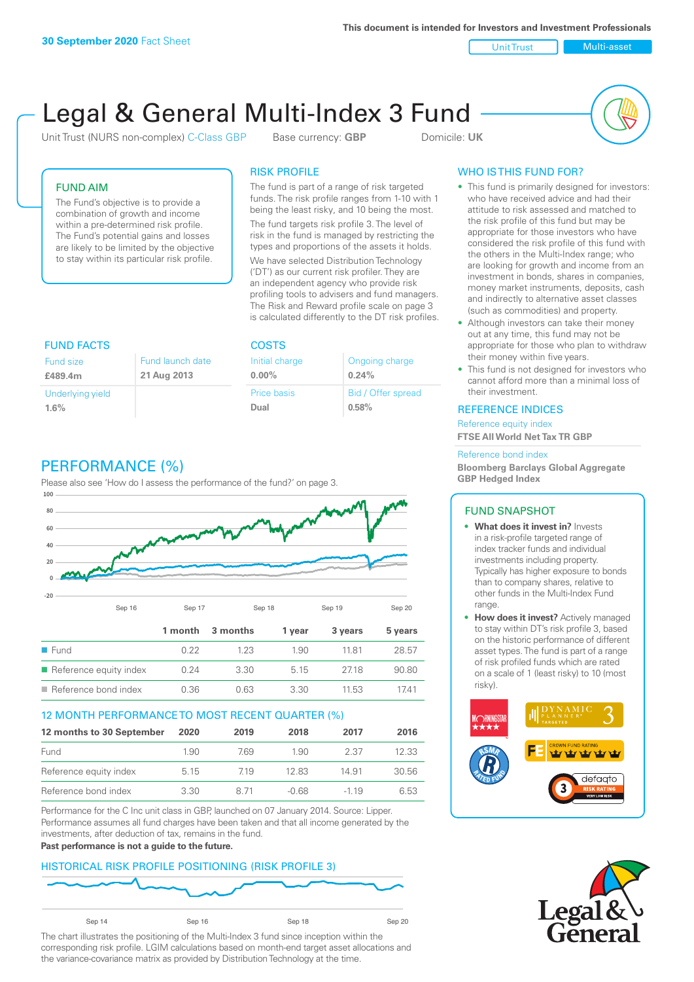**This document is intended for Investors and Investment Professionals**

Unit Trust Nulti-asset

# Legal & General Multi-Index 3 Fund

Unit Trust (NURS non-complex) C-Class GBP Base currency: **GBP** Domicile: UK



## FUND AIM

The Fund's objective is to provide a combination of growth and income within a pre-determined risk profile. The Fund's potential gains and losses are likely to be limited by the objective to stay within its particular risk profile.

## RISK PROFILE

The fund is part of a range of risk targeted funds. The risk profile ranges from 1-10 with 1 being the least risky, and 10 being the most.

The fund targets risk profile 3. The level of risk in the fund is managed by restricting the types and proportions of the assets it holds. We have selected Distribution Technology ('DT') as our current risk profiler. They are an independent agency who provide risk profiling tools to advisers and fund managers. The Risk and Reward profile scale on page 3 is calculated differently to the DT risk profiles.

Ongoing charge

Bid / Offer spread

**0.24%**

**0.58%**

| <b>FUND FACTS</b>           |                                 | <b>COSTS</b>               |
|-----------------------------|---------------------------------|----------------------------|
| <b>Fund size</b><br>£489.4m | Fund launch date<br>21 Aug 2013 | Initial charge<br>$0.00\%$ |
| Underlying yield<br>1.6%    |                                 | <b>Price basis</b><br>Dual |

# PERFORMANCE (%)

Please also see 'How do I assess the performance of the fund?' on page 3.



### 12 MONTH PERFORMANCE TO MOST RECENT QUARTER (%)

| 12 months to 30 September | 2020 | 2019 | 2018    | 2017   | 2016  |
|---------------------------|------|------|---------|--------|-------|
| Fund                      | 1.90 | 769  | 1.90    | 2.37   | 12.33 |
| Reference equity index    | 5.15 | 719  | 12.83   | 14.91  | 30.56 |
| Reference bond index      | 3.30 | 8 71 | $-0.68$ | $-119$ | 6.53  |

Performance for the C Inc unit class in GBP, launched on 07 January 2014. Source: Lipper. Performance assumes all fund charges have been taken and that all income generated by the investments, after deduction of tax, remains in the fund.

#### **Past performance is not a guide to the future.**

### HISTORICAL RISK PROFILE POSITIONING (RISK PROFILE 3)



The chart illustrates the positioning of the Multi-Index 3 fund since inception within the corresponding risk profile. LGIM calculations based on month-end target asset allocations and the variance-covariance matrix as provided by Distribution Technology at the time.

# WHO IS THIS FUND FOR?

- This fund is primarily designed for investors: who have received advice and had their attitude to risk assessed and matched to the risk profile of this fund but may be appropriate for those investors who have considered the risk profile of this fund with the others in the Multi-Index range; who are looking for growth and income from an investment in bonds, shares in companies, money market instruments, deposits, cash and indirectly to alternative asset classes (such as commodities) and property.
- Although investors can take their money out at any time, this fund may not be appropriate for those who plan to withdraw their money within five years.
- This fund is not designed for investors who cannot afford more than a minimal loss of their investment.

#### REFERENCE INDICES

Reference equity index **FTSE All World Net Tax TR GBP**

#### Reference bond index

**Bloomberg Barclays Global Aggregate GBP Hedged Index**

### FUND SNAPSHOT

- **• What does it invest in?** Invests in a risk-profile targeted range of index tracker funds and individual investments including property. Typically has higher exposure to bonds than to company shares, relative to other funds in the Multi-Index Fund range.
- **• How does it invest?** Actively managed to stay within DT's risk profile 3, based on the historic performance of different asset types. The fund is part of a range of risk profiled funds which are rated on a scale of 1 (least risky) to 10 (most risky).



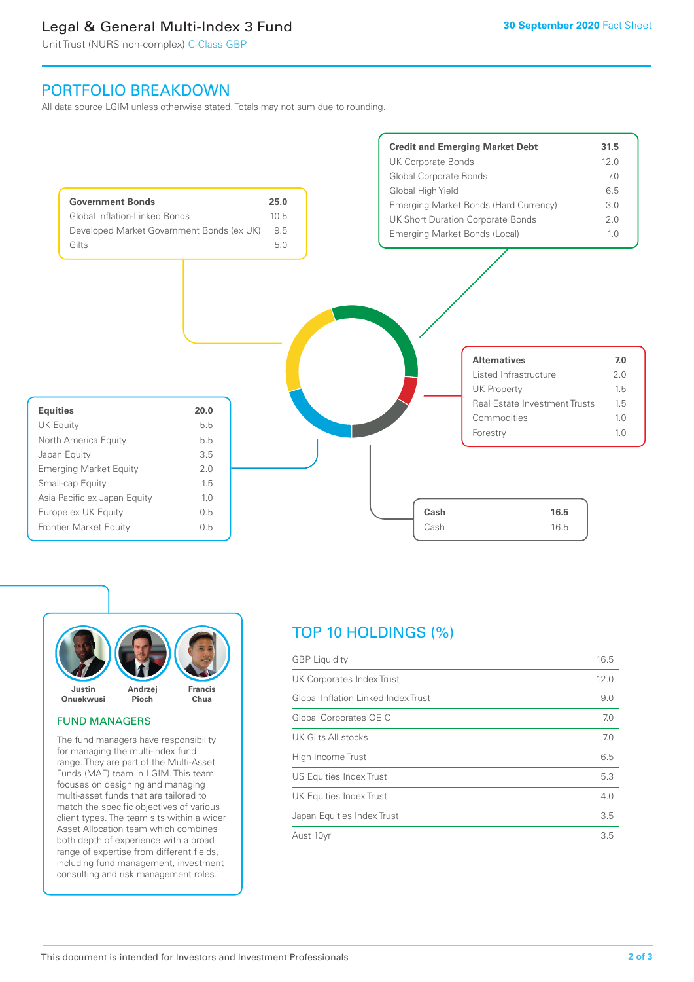# Legal & General Multi-Index 3 Fund

Unit Trust (NURS non-complex) C-Class GBP

# PORTFOLIO BREAKDOWN

All data source LGIM unless otherwise stated. Totals may not sum due to rounding.





### FUND MANAGERS

The fund managers have responsibility for managing the multi-index fund range. They are part of the Multi-Asset Funds (MAF) team in LGIM. This team focuses on designing and managing multi-asset funds that are tailored to match the specific objectives of various client types. The team sits within a wider Asset Allocation team which combines both depth of experience with a broad range of expertise from different fields, including fund management, investment consulting and risk management roles.

# TOP 10 HOLDINGS (%)

| <b>GBP</b> Liquidity                | 16.5 |
|-------------------------------------|------|
| UK Corporates Index Trust           | 12.0 |
| Global Inflation Linked Index Trust | 9.0  |
| <b>Global Corporates OEIC</b>       | 7.0  |
| UK Gilts All stocks                 | 7.0  |
| High Income Trust                   | 6.5  |
| US Equities Index Trust             | 5.3  |
| UK Equities Index Trust             | 4.0  |
| Japan Equities Index Trust          | 3.5  |
| Aust 10yr                           | 3.5  |
|                                     |      |